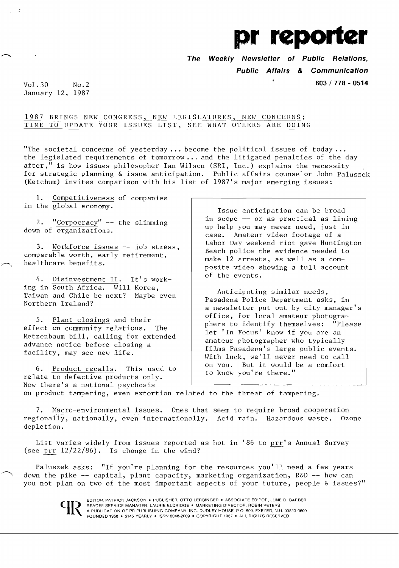

**The Weekly Newsletter of Public Relations, Public Affairs & Communication** 

Vol. **603/778 - <sup>0514</sup>** 30 No.2 January 12, 1987

## 1987 BRINGS NEW CONGRESS, NEW LEGISLATURES, NEW CONCERNS; TIME TO UPDATE YOUR ISSUES LIST, SEE WHAT OTHERS ARE DOING

"The societal concerns of yesterday ... become the political issues of today ... the legislated requirements of **tomorrow ...** and the litigated penalties of the day after," is how issues philosopher Ian Wilson (SRI, Inc.) explains the necessity for strategic planning & issue anticipation. Public affairs counselor John Paluszek (Ketchum) invites comparison with his list of 1987's major emerging issues:

**1.** Competitiveness of companies in the global economy.

2. "Corpocracy"  $-$  the slimming down of organizations.

3. Workforce issues -- job stress, comparable worth, early retirement, healthcare benefits.

4. Disinvestment II. It's working in South Africa. Will Korea, Taiwan and Chile be next? Maybe even Northern Ireland?

5. Plant closings and their<br>ect on community relations. The effect on community relations. Metzenbaum bill, calling for extended advance notice before closing a facility, may see new life.

6. Product recalls. This used to relate to defective products only. Now there's a national psychosis

Issue anticipation can be broad in scope -- or as practical as lining up help you may never need, just in case. Amateur video footage of a Labor Day weekend riot gave Huntington Beach police the evidence needed to make 12 arrests, as well as a composite video showing a full account of the events.

Anticipating similar needs, Pasadena Police Department asks, in a newsletter put out by city manager's office, for local amateur photographers to identify themselves: "Please let 'In Focus' know if you are an amateur photographer who typically films Pasadena's large public events. With luck, we'll never need to call on you. But it would be a comfort to know you're there."

on product tampering, even extortion related to the threat of tampering.

7. Macro-environmental issues. Ones that seem to require broad cooperation regionally, nationally, even internationally. Acid rain. Hazardous waste. Ozone depletion.

List varies widely from issues reported as hot in '86 to prr's Annual Survey (see prr 12/22/86). Is change in the wind?

Paluszek asks: "If you're planning for the resources you'll need a few years down the pike -- capital, plant capacity, marketing organization, R&D -- how can you not plan on two of the most important aspects of your future, people & issues?"

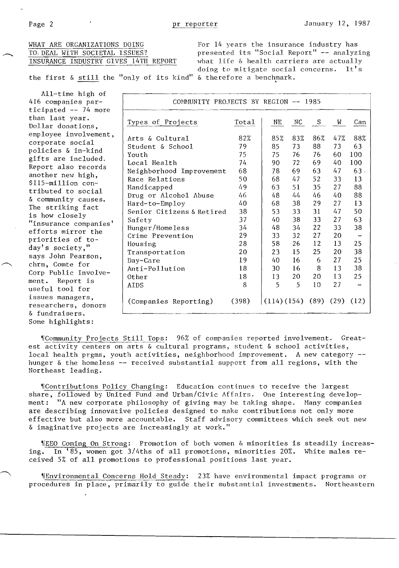WHAT ARE ORGANIZATIONS DOING<br>TO DEAL WITH SOCIETAL ISSUES? THE presented its "Social Report" -- analyzi TO. DEAL WITH SOCIETAL ISSUES?<br>INSURANCE INDUSTRY GIVES 14TH REPORT what life & health carriers are actually what life  $\&$  health carriers are actually doing to mitigate social concerns. It's doing to mitigate social concerns.

the first & still the "only of its kind" & therefore a benchmark.

| $All-time high of$     |                                      |       |                        |     |     |     |                          |
|------------------------|--------------------------------------|-------|------------------------|-----|-----|-----|--------------------------|
| 416 companies par-     | COMMUNITY PROJECTS BY REGION -- 1985 |       |                        |     |     |     |                          |
| ticipated $--$ 74 more |                                      |       |                        |     |     |     |                          |
| than last year.        | Types of Projects                    | Total | NE                     | NC  | S   | W   | Can                      |
| Dollar donations,      |                                      |       |                        |     |     |     |                          |
| employee involvement,  | Arts & Cultural                      | 82%   | 85%                    | 83% | 86% | 47% | 88%                      |
| corporate social       | Student & School                     | 79    | 85                     | 73  | 88  | 73  | 63                       |
| policies & in-kind     | Youth                                | 75    | 75                     | 76  | 76  | 60  | 100                      |
| gifts are included.    | Local Health                         | 74    | 90                     | 72  | 69  | 40  | 100                      |
| Report also records    | Neighborhood Improvement             | 68    | 78                     | 69  | 63  | 47  | 63.                      |
| another new high,      | Race Relations                       | 50    | 68                     | 47  | 52  | 33  | 13                       |
| \$115-million con-     | Handicapped                          | 49    | 63                     | 51  | 35  | 27  | 88                       |
| tributed to social     | Drug or Alcohol Abuse                | 46    | 48                     | 44  | 46  | 40  | 88                       |
| & community causes.    | Hard-to-Employ                       | 40    | 68                     | 38  | 29  | 27  | 13                       |
| The striking fact      | Senior Citizens & Retired            | 38    | 53                     | 33  | 31  | 47  | 50                       |
| is how closely         | Safety                               | 37    | 40                     | 38  | 33  | 27  | 63                       |
| "insurance companies'  | Hunger/Homeless                      | 34    | 48                     | 34  | 22  | 33  | 38                       |
| efforts mirror the     | Crime Prevention                     | 29    | 33                     | 32  | 27  | 20  | $\overline{\phantom{a}}$ |
| priorities of to-      | Housing                              | 28    | 58                     | 26  | 12  | 13  | 25                       |
| day's society,"        | Transportation                       | 20    | 23                     | 15  | 25  | 20  | 38                       |
| says John Pearson,     | Day-Care                             | 19    | 40                     | 16  | 6   | 27  | 25                       |
| chrm, Comte for        | Anti-Pollution                       | 18    | 30                     | 16  | 8   | 13  | 38                       |
| Corp Public Involve-   | Other                                | 18    | 13                     | 20  | 20  | 13  | 25                       |
| ment. Report is        | <b>AIDS</b>                          | 8     | 5                      | 5   | 10  | 27  |                          |
| useful tool for        |                                      |       |                        |     |     |     |                          |
| issues managers,       | (Companies Reporting)                | (398) | (114)(154)(89)(29)(12) |     |     |     |                          |
| researchers, donors    |                                      |       |                        |     |     |     |                          |
| & fundraisers.         |                                      |       |                        |     |     |     |                          |
| Some highlights:       |                                      |       |                        |     |     |     |                          |

"Community Projects Still Tops: 96% of companies reported involvement. Greatest activity centers on arts & cultural programs, student & school activities, local health prgms, youth activities, neighborhood improvement. A new category hunger & the homeless -- received substantial support from all regions, with the Northeast leading.

"IContributions Policy Changing: Education continues to receive the largest share, followed by United Fund and Urban/Civic Affairs. One interesting development: **"A** new corporate philosophy of giving may he taking shape. Hany companies are describing innovative policies designed to make contributions not only more effective but also more accountable. Staff advisory committees which seek out new & imaginative projects are increasingly at work."

'I£EO Coming On Strong: Promotion of both women & minorities is steadily increasing. In '85, women got 3/4ths of all promotions, minorities 20%. White males received 5% of all promotions to professional positions last year.

'IEnvironmental Concerns Hold Steady: 23% have environmental impact programs or procedures in place, primarily to guide their substantial investments. Northeastern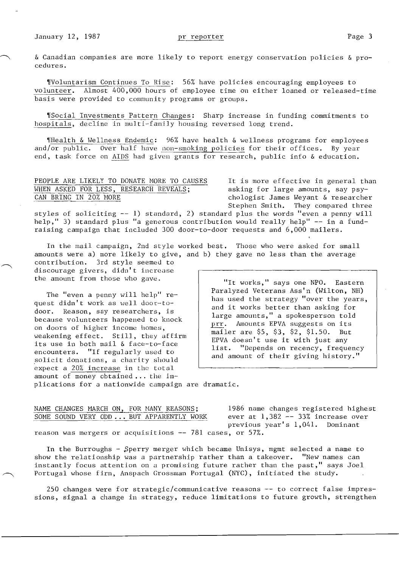& Canadian companies are more likely to report energy conservation policies & procedures.

'!Voluntarism Continues To Rise: 56% have policies encouraging employees to volunteer. Almost 400,000 hours of employee time on either loaned or released-time basis were provided to community programs or groups.

'[Social Investments Pattern Changes: Sharp increase in funding conuni tments to hospitals, decline in multi-family housing reversed long trend.

'lHealth & Hellness Endemic: 96% have health & wellness programs for employees and/or public. Over half have non-smoking policies for their offices. By year end, task force on AIDS had given grants for research, public info & education.

## PEOPLE ARE LIKELY TO DONATE MORE TO CAUSES It is more effective in general than<br>WHEN ASKED FOR LESS, RESEARCH REVEALS; asking for large amounts, say psy-WHEN ASKED FOR LESS, RESEARCH REVEALS; CAN BRING IN 20% MORE

chologist James Weyant & researcher Stephen Smith. They compared three

styles of soliciting -- 1) standard, 2) standard plus the words "even a penny will help," 3) standard plus "a generous contribution would really help" -- in a fundraising campaign that included 300 door-to-door requests and 6,000 mailers.

In the mail campaign, 2nd style worked best. Those who were asked for small amounts were a) more likely to give, and b) they gave no less than the average

contribution. 3rd style seemed to discourage givers, didn't increase<br>the amount from those who gave.

on doors of higher income homes,<br>
weakening effect. Still, they affirm<br>
its use in both mail & face-to-face<br>
encounters. "If regularly used to<br>
solicit donations, a charity should<br>
and amount of their giving history." solicit donations, a charity should<br>expect a 20% increase in the total amount of money obtained ... the im-

"It works," says one NPO. Eastern<br>Paralyzed Veterans Ass'n (Wilton, NH) The "even a penny will help" re-<br>quest didn't work as well door-to-<br>door. Reason, say researchers, is<br>because volunteers happened to knock<br> $\begin{array}{c|c|c|c|c|c|c} \text{Paralyzed Veterans Ass'n (Wilton, NH)} \end{array}$ <br>has used the strategy "over the years, large amounts," a spokesperson told<br>prr. Amounts EPVA suggests on its<br>mailer are \$5, \$3, \$2, \$1.50. But

plications for a nationwide campaign are dramatic.

| NAME CHANGES MARCH ON, FOR MANY REASONS;                 | 1986 name changes registered highest |
|----------------------------------------------------------|--------------------------------------|
| SOME SOUND VERY ODD BUT APPARENTLY WORK                  | ever at $1,382 - 33\%$ increase over |
|                                                          | previous year's $1,041$ . Dominant   |
| reason was mergers or acquisitions -- 781 cases, or 57%. |                                      |

In the Burroughs - Sperry merger which became Unisys, mgmt selected a name to show the relationship was a partnership rather than a takeover. "New names can instantly focus attention on a promising future rather than the past," says Joel Portugal whose firm, Anspach Grossman Portugal (NYC), initiated the study.

*<sup>250</sup>*changes were for strategic/communicative reasons -- to correct false impressions, signal a change in strategy, reduce limitations to future growth, strengthen